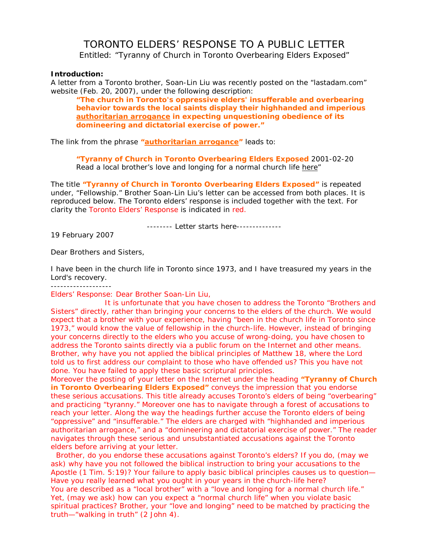# TORONTO ELDERS' RESPONSE TO A PUBLIC LETTER

Entitled: "Tyranny of Church in Toronto Overbearing Elders Exposed"

## **Introduction:**

A letter from a Toronto brother, Soan-Lin Liu was recently posted on the "lastadam.com" website (Feb. 20, 2007), under the following description:

**"The church in Toronto's oppressive elders' insufferable and overbearing behavior towards the local saints display their highhanded and imperious authoritarian arrogance in expecting unquestioning obedience of its domineering and dictatorial exercise of power."** 

The link from the phrase **"authoritarian arrogance"** leads to:

**"Tyranny of Church in Toronto Overbearing Elders Exposed** 2001-02-20 Read a local brother's love and longing for a normal church life here"

The title **"Tyranny of Church in Toronto Overbearing Elders Exposed"** is repeated under, "Fellowship." Brother Soan-Lin Liu's letter can be accessed from both places. It is reproduced below. The Toronto elders' response is included together with the text. For clarity the Toronto Elders' Response is indicated in red.

-------- Letter starts here--------------

19 February 2007

Dear Brothers and Sisters,

I have been in the church life in Toronto since 1973, and I have treasured my years in the Lord's recovery.

-------------------

Elders' Response: Dear Brother Soan-Lin Liu,

 It is unfortunate that you have chosen to address the Toronto "Brothers and Sisters" directly, rather than bringing your concerns to the elders of the church. We would expect that a brother with your experience, having "been in the church life in Toronto since 1973," would know the value of fellowship in the church-life. However, instead of bringing your concerns directly to the elders who you accuse of wrong-doing, you have chosen to address the Toronto saints directly via a public forum on the Internet and other means. Brother, why have you not applied the biblical principles of Matthew 18, where the Lord told us to first address our complaint to those who have offended us? This you have not done. You have failed to apply these basic scriptural principles.

Moreover the posting of your letter on the Internet under the heading **"Tyranny of Church in Toronto Overbearing Elders Exposed"** conveys the impression that you endorse these serious accusations. This title already accuses Toronto's elders of being "overbearing" and practicing "tyranny." Moreover one has to navigate through a forest of accusations to reach your letter. Along the way the headings further accuse the Toronto elders of being "oppressive" and "insufferable." The elders are charged with "highhanded and imperious authoritarian arrogance," and a "domineering and dictatorial exercise of power." The reader navigates through these serious and unsubstantiated accusations against the Toronto elders before arriving at your letter.

 Brother, do you endorse these accusations against Toronto's elders? If you do, (may we ask) why have you not followed the biblical instruction to bring your accusations to the Apostle (1 Tim. 5:19)? Your failure to apply basic biblical principles causes us to question— Have you really learned what you ought in your years in the church-life here? You are described as a "local brother" with a "love and longing for a normal church life." Yet, (may we ask) how can you expect a "normal church life" when you violate basic spiritual practices? Brother, your "love and longing" need to be matched by practicing the truth—"walking in truth" (2 John 4).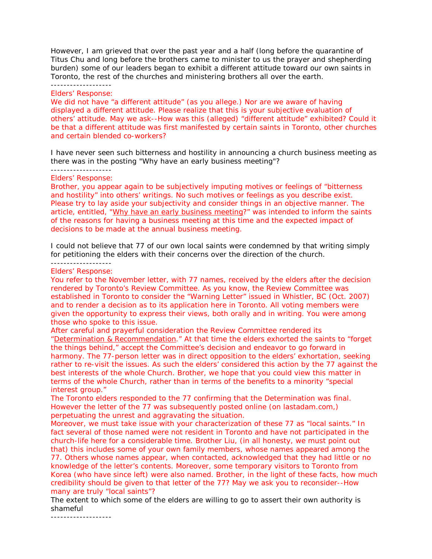However, I am grieved that over the past year and a half (long before the quarantine of Titus Chu and long before the brothers came to minister to us the prayer and shepherding burden) some of our leaders began to exhibit a different attitude toward our own saints in Toronto, the rest of the churches and ministering brothers all over the earth.

## -------------------

## Elders' Response:

We did not have "a different attitude" (as you allege.) Nor are we aware of having displayed a different attitude. Please realize that this is your subjective evaluation of others' attitude. May we ask--How was this (alleged) "different attitude" exhibited? Could it be that a different attitude was first manifested by certain saints in Toronto, other churches and certain blended co-workers?

I have never seen such bitterness and hostility in announcing a church business meeting as there was in the posting "Why have an early business meeting"? -------------------

# Elders' Response:

Brother, you appear again to be subjectively imputing motives or feelings of "bitterness and hostility" into others' writings. No such motives or feelings as you describe exist. Please try to lay aside your subjectivity and consider things in an objective manner. The article, entitled, "Why have an early business meeting?" was intended to inform the saints of the reasons for having a business meeting at this time and the expected impact of decisions to be made at the annual business meeting.

I could not believe that 77 of our own local saints were condemned by that writing simply for petitioning the elders with their concerns over the direction of the church.

#### ------------------- Elders' Response:

You refer to the November letter, with 77 names, received by the elders after the decision rendered by Toronto's Review Committee. As you know, the Review Committee was established in Toronto to consider the "Warning Letter" issued in Whistler, BC (Oct. 2007) and to render a decision as to its application here in Toronto. All voting members were given the opportunity to express their views, both orally and in writing. You were among those who spoke to this issue.

After careful and prayerful consideration the Review Committee rendered its "Determination & Recommendation." At that time the elders exhorted the saints to "forget the things behind," accept the Committee's decision and endeavor to go forward in harmony. The 77-person letter was in direct opposition to the elders' exhortation, seeking rather to re-visit the issues. As such the elders' considered this action by the 77 against the best interests of the whole Church. Brother, we hope that you could view this matter in terms of the whole Church, rather than in terms of the benefits to a minority "special interest group."

The Toronto elders responded to the 77 confirming that the Determination was final. However the letter of the 77 was subsequently posted online (on lastadam.com,) perpetuating the unrest and aggravating the situation.

Moreover, we must take issue with your characterization of these 77 as "local saints." In fact several of those named were not resident in Toronto and have not participated in the church-life here for a considerable time. Brother Liu, (in all honesty, we must point out that) this includes some of your own family members, whose names appeared among the 77. Others whose names appear, when contacted, acknowledged that they had little or no knowledge of the letter's contents. Moreover, some temporary visitors to Toronto from Korea (who have since left) were also named. Brother, in the light of these facts, how much credibility should be given to that letter of the 77? May we ask you to reconsider--How many are truly "local saints"?

The extent to which some of the elders are willing to go to assert their own authority is shameful

-------------------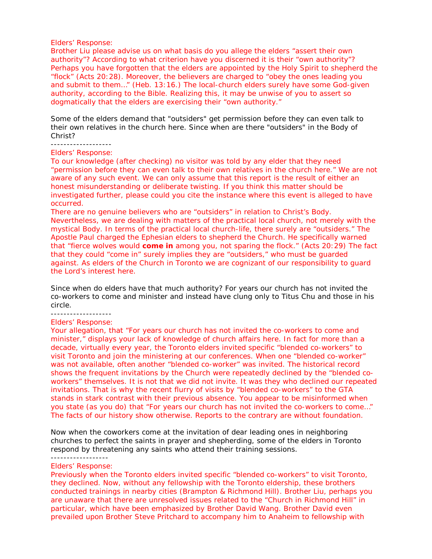#### Elders' Response:

Brother Liu please advise us on what basis do you allege the elders "assert their own authority"? According to what criterion have you discerned it is their "own authority"? Perhaps you have forgotten that the elders are appointed by the Holy Spirit to shepherd the "flock" (Acts 20:28). Moreover, the believers are charged to "obey the ones leading you and submit to them…" (Heb. 13:16.) The local-church elders surely have some God-given authority, according to the Bible. Realizing this, it may be unwise of you to assert so dogmatically that the elders are exercising their "own authority."

Some of the elders demand that "outsiders" get permission before they can even talk to their own relatives in the church here. Since when are there "outsiders" in the Body of Christ?

-------------------

## Elders' Response:

To our knowledge (after checking) no visitor was told by any elder that they need "permission before they can even talk to their own relatives in the church here." We are not aware of any such event. We can only assume that this report is the result of either an honest misunderstanding or deliberate twisting. If you think this matter should be investigated further, please could you cite the instance where this event is alleged to have occurred.

There are no genuine believers who are "outsiders" in relation to Christ's Body. Nevertheless, we are dealing with matters of the practical local church, not merely with the mystical Body. In terms of the practical local church-life, there surely are "outsiders." The Apostle Paul charged the Ephesian elders to shepherd the Church. He specifically warned that "fierce wolves would **come in** among you, not sparing the flock." (Acts 20:29) The fact that they could "come in" surely implies they are "outsiders," who must be guarded against. As elders of the Church in Toronto we are cognizant of our responsibility to guard the Lord's interest here.

Since when do elders have that much authority? For years our church has not invited the co-workers to come and minister and instead have clung only to Titus Chu and those in his circle. -------------------

## Elders' Response:

Your allegation, that "For years our church has not invited the co-workers to come and minister," displays your lack of knowledge of church affairs here. In fact for more than a decade, virtually every year, the Toronto elders invited specific "blended co-workers" to visit Toronto and join the ministering at our conferences. When one "blended co-worker" was not available, often another "blended co-worker" was invited. The historical record shows the frequent invitations by the Church were repeatedly declined by the "blended coworkers" themselves. It is not that we did not invite. It was they who declined our repeated invitations. That is why the recent flurry of visits by "blended co-workers" to the GTA stands in stark contrast with their previous absence. You appear to be misinformed when you state (as you do) that "For years our church has not invited the co-workers to come…" The facts of our history show otherwise. Reports to the contrary are without foundation.

Now when the coworkers come at the invitation of dear leading ones in neighboring churches to perfect the saints in prayer and shepherding, some of the elders in Toronto respond by threatening any saints who attend their training sessions.

------------------

## Elders' Response:

Previously when the Toronto elders invited specific "blended co-workers" to visit Toronto, they declined. Now, without any fellowship with the Toronto eldership, these brothers conducted trainings in nearby cities (Brampton & Richmond Hill). Brother Liu, perhaps you are unaware that there are unresolved issues related to the "Church in Richmond Hill" in particular, which have been emphasized by Brother David Wang. Brother David even prevailed upon Brother Steve Pritchard to accompany him to Anaheim to fellowship with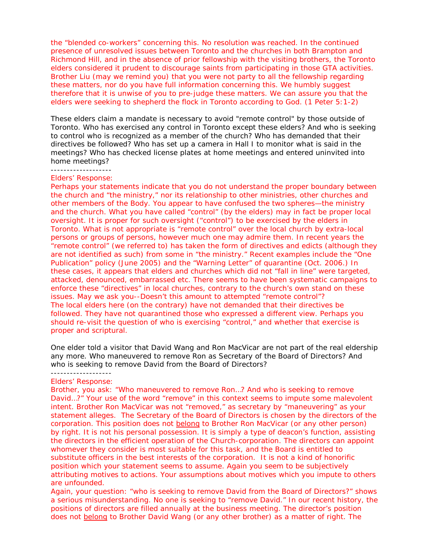the "blended co-workers" concerning this. No resolution was reached. In the continued presence of unresolved issues between Toronto and the churches in both Brampton and Richmond Hill, and in the absence of prior fellowship with the visiting brothers, the Toronto elders considered it prudent to discourage saints from participating in those GTA activities. Brother Liu (may we remind you) that you were not party to all the fellowship regarding these matters, nor do you have full information concerning this. We humbly suggest therefore that it is unwise of you to pre-judge these matters. We can assure you that the elders were seeking to shepherd the flock in Toronto according to God. (1 Peter 5:1-2)

These elders claim a mandate is necessary to avoid "remote control" by those outside of Toronto. Who has exercised any control in Toronto except these elders? And who is seeking to control who is recognized as a member of the church? Who has demanded that their directives be followed? Who has set up a camera in Hall I to monitor what is said in the meetings? Who has checked license plates at home meetings and entered uninvited into home meetings?

#### -------------------

#### Elders' Response:

Perhaps your statements indicate that you do not understand the proper boundary between the church and "the ministry," nor its relationship to other ministries, other churches and other members of the Body. You appear to have confused the two spheres—the ministry and the church. What you have called "control" (by the elders) may in fact be proper local oversight. It is proper for such oversight ("control") to be exercised by the elders in Toronto. What is not appropriate is "remote control" over the local church by extra-local persons or groups of persons, however much one may admire them. In recent years the "remote control" (we referred to) has taken the form of directives and edicts (although they are not identified as such) from some in "the ministry." Recent examples include the "One Publication" policy (June 2005) and the "Warning Letter" of quarantine (Oct. 2006.) In these cases, it appears that elders and churches which did not "fall in line" were targeted, attacked, denounced, embarrassed etc. There seems to have been systematic campaigns to enforce these "directives" in local churches, contrary to the church's own stand on these issues. May we ask you--Doesn't this amount to attempted "remote control"? The local elders here (on the contrary) have not demanded that their directives be followed. They have not quarantined those who expressed a different view. Perhaps you should re-visit the question of who is exercising "control," and whether that exercise is proper and scriptural.

One elder told a visitor that David Wang and Ron MacVicar are not part of the real eldership any more. Who maneuvered to remove Ron as Secretary of the Board of Directors? And who is seeking to remove David from the Board of Directors?

#### ------------------- Elders' Response:

Brother, you ask: "Who maneuvered to remove Ron…? And who is seeking to remove David…?" Your use of the word "remove" in this context seems to impute some malevolent intent. Brother Ron MacVicar was not "removed," as secretary by "maneuvering" as your statement alleges. The Secretary of the Board of Directors is chosen by the directors of the corporation. This position does not belong to Brother Ron MacVicar (or any other person) by right. It is not his personal possession. It is simply a type of deacon's function, assisting the directors in the efficient operation of the Church-corporation. The directors can appoint whomever they consider is most suitable for this task, and the Board is entitled to substitute officers in the best interests of the corporation. It is not a kind of honorific position which your statement seems to assume. Again you seem to be subjectively attributing motives to actions. Your assumptions about motives which you impute to others are unfounded.

Again, your question: "who is seeking to remove David from the Board of Directors?" shows a serious misunderstanding. No one is seeking to "remove David." In our recent history, the positions of directors are filled annually at the business meeting. The director's position does not belong to Brother David Wang (or any other brother) as a matter of right. The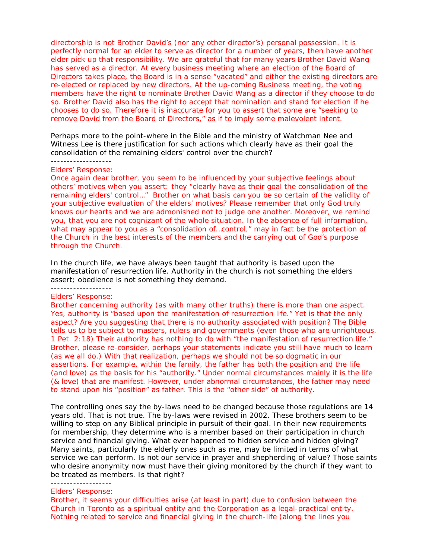directorship is not Brother David's (nor any other director's) personal possession. It is perfectly normal for an elder to serve as director for a number of years, then have another elder pick up that responsibility. We are grateful that for many years Brother David Wang has served as a director. At every business meeting where an election of the Board of Directors takes place, the Board is in a sense "vacated" and either the existing directors are re-elected or replaced by new directors. At the up-coming Business meeting, the voting members have the right to nominate Brother David Wang as a director if they choose to do so. Brother David also has the right to accept that nomination and stand for election if he chooses to do so. Therefore it is inaccurate for you to assert that some are "seeking to remove David from the Board of Directors," as if to imply some malevolent intent.

Perhaps more to the point-where in the Bible and the ministry of Watchman Nee and Witness Lee is there justification for such actions which clearly have as their goal the consolidation of the remaining elders' control over the church?

#### ------------------- Elders' Response:

Once again dear brother, you seem to be influenced by your subjective feelings about others' motives when you assert: they "clearly have as their goal the consolidation of the remaining elders' control…" Brother on what basis can you be so certain of the validity of your subjective evaluation of the elders' motives? Please remember that only God truly knows our hearts and we are admonished not to judge one another. Moreover, we remind you, that you are not cognizant of the whole situation. In the absence of full information, what may appear to you as a "consolidation of...control," may in fact be the protection of the Church in the best interests of the members and the carrying out of God's purpose through the Church.

In the church life, we have always been taught that authority is based upon the manifestation of resurrection life. Authority in the church is not something the elders assert; obedience is not something they demand.

#### ------------------- Elders' Response:

Brother concerning authority (as with many other truths) there is more than one aspect. Yes, authority is "based upon the manifestation of resurrection life." Yet is that the only aspect? Are you suggesting that there is no authority associated with position? The Bible tells us to be subject to masters, rulers and governments (even those who are unrighteous. 1 Pet. 2:18) Their authority has nothing to do with "the manifestation of resurrection life." Brother, please re-consider, perhaps your statements indicate you still have much to learn (as we all do.) With that realization, perhaps we should not be so dogmatic in our assertions. For example, within the family, the father has both the position and the life (and love) as the basis for his "authority." Under normal circumstances mainly it is the life (& love) that are manifest. However, under abnormal circumstances, the father may need to stand upon his "position" as father. This is the "other side" of authority.

The controlling ones say the by-laws need to be changed because those regulations are 14 years old. That is not true. The by-laws were revised in 2002. These brothers seem to be willing to step on any Biblical principle in pursuit of their goal. In their new requirements for membership, they determine who is a member based on their participation in church service and financial giving. What ever happened to hidden service and hidden giving? Many saints, particularly the elderly ones such as me, may be limited in terms of what service we can perform. Is not our service in prayer and shepherding of value? Those saints who desire anonymity now must have their giving monitored by the church if they want to be treated as members. Is that right?

## -------------------

#### Elders' Response:

Brother, it seems your difficulties arise (at least in part) due to confusion between the Church in Toronto as a spiritual entity and the Corporation as a legal-practical entity. Nothing related to service and financial giving in the church-life (along the lines you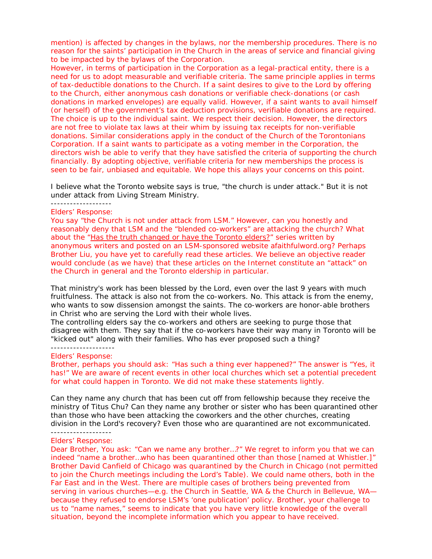mention) is affected by changes in the bylaws, nor the membership procedures. There is no reason for the saints' participation in the Church in the areas of service and financial giving to be impacted by the bylaws of the Corporation.

However, in terms of participation in the Corporation as a legal-practical entity, there is a need for us to adopt measurable and verifiable criteria. The same principle applies in terms of tax-deductible donations to the Church. If a saint desires to give to the Lord by offering to the Church, either anonymous cash donations or verifiable check-donations (or cash donations in marked envelopes) are equally valid. However, if a saint wants to avail himself (or herself) of the government's tax deduction provisions, verifiable donations are required. The choice is up to the individual saint. We respect their decision. However, the directors are not free to violate tax laws at their whim by issuing tax receipts for non-verifiable donations. Similar considerations apply in the conduct of the Church of the Torontonians Corporation. If a saint wants to participate as a voting member in the Corporation, the directors wish be able to verify that they have satisfied the criteria of supporting the church financially. By adopting objective, verifiable criteria for new memberships the process is seen to be fair, unbiased and equitable. We hope this allays your concerns on this point.

I believe what the Toronto website says is true, "the church is under attack." But it is not under attack from Living Stream Ministry.

## -------------------

#### Elders' Response:

You say "the Church is not under attack from LSM." However, can you honestly and reasonably deny that LSM and the "blended co-workers" are attacking the church? What about the "Has the truth changed or have the Toronto elders?" series written by anonymous writers and posted on an LSM-sponsored website afaithfulword.org? Perhaps Brother Liu, you have yet to carefully read these articles. We believe an objective reader would conclude (as we have) that these articles on the Internet constitute an "attack" on the Church in general and the Toronto eldership in particular.

That ministry's work has been blessed by the Lord, even over the last 9 years with much fruitfulness. The attack is also not from the co-workers. No. This attack is from the enemy, who wants to sow dissension amongst the saints. The co-workers are honor-able brothers in Christ who are serving the Lord with their whole lives.

The controlling elders say the co-workers and others are seeking to purge those that disagree with them. They say that if the co-workers have their way many in Toronto will be "kicked out" along with their families. Who has ever proposed such a thing? --------------------

#### Elders' Response:

Brother, perhaps you should ask: "Has such a thing ever happened?" The answer is "Yes, it has!" We are aware of recent events in other local churches which set a potential precedent for what could happen in Toronto. We did not make these statements lightly.

Can they name any church that has been cut off from fellowship because they receive the ministry of Titus Chu? Can they name any brother or sister who has been quarantined other than those who have been attacking the coworkers and the other churches, creating division in the Lord's recovery? Even those who are quarantined are not excommunicated. -------------------

### Elders' Response:

Dear Brother, You ask: "Can we name any brother…?" We regret to inform you that we can indeed "name a brother…who has been quarantined other than those [named at Whistler.]" Brother David Canfield of Chicago was quarantined by the Church in Chicago (not permitted to join the Church meetings including the Lord's Table). We could name others, both in the Far East and in the West. There are multiple cases of brothers being prevented from serving in various churches—e.g. the Church in Seattle, WA & the Church in Bellevue, WA because they refused to endorse LSM's 'one publication' policy. Brother, your challenge to us to "name names," seems to indicate that you have very little knowledge of the overall situation, beyond the incomplete information which you appear to have received.